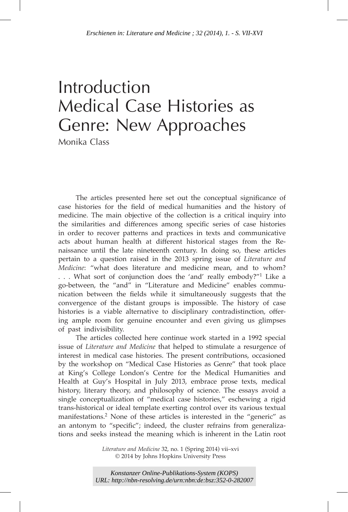# Introduction Medical Case Histories as Genre: New Approaches

Monika Class

The articles presented here set out the conceptual significance of case histories for the field of medical humanities and the history of medicine. The main objective of the collection is a critical inquiry into the similarities and differences among specific series of case histories in order to recover patterns and practices in texts and communicative acts about human health at different historical stages from the Renaissance until the late nineteenth century. In doing so, these articles pertain to a question raised in the 2013 spring issue of *Literature and Medicine*: "what does literature and medicine mean, and to whom? . . . What sort of conjunction does the 'and' really embody?"1 Like a go-between, the "and" in "Literature and Medicine" enables communication between the fields while it simultaneously suggests that the convergence of the distant groups is impossible. The history of case histories is a viable alternative to disciplinary contradistinction, offering ample room for genuine encounter and even giving us glimpses of past indivisibility. *Erschienen in: Literature and Medicine : 32 (2014), 1. - S. VII-XVI<br>*  $\bigodot$  *CMCC COMP*  $\bigodot$  *CMCC COMP*  $\bigodot$  *CMCC COMP*  $\bigodot$  *CMCC COMP*  $\bigodot$  *CMCC COMP*  $\bigodot$  *CMCC COMP*  $\bigodot$  *CMC*  $\bigodot$  *CMC*  $\bigodot$  *CMC*  $\bigodot$  *CMC \bigodot* 

The articles collected here continue work started in a 1992 special issue of *Literature and Medicine* that helped to stimulate a resurgence of interest in medical case histories. The present contributions, occasioned by the workshop on "Medical Case Histories as Genre" that took place at King's College London's Centre for the Medical Humanities and Health at Guy's Hospital in July 2013, embrace prose texts, medical history, literary theory, and philosophy of science. The essays avoid a single conceptualization of "medical case histories," eschewing a rigid trans-historical or ideal template exerting control over its various textual manifestations.<sup>2</sup> None of these articles is interested in the "generic" as an antonym to "specific"; indeed, the cluster refrains from generalizations and seeks instead the meaning which is inherent in the Latin root

> *Literature and Medicine* 32, no. 1 (Spring 2014) vii–xvi © 2014 by Johns Hopkins University Press

*Konstanzer Online-Publikations-System (KOPS)*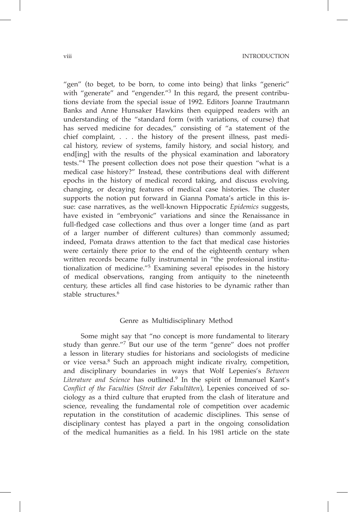viii INTRODUCTION

"gen" (to beget, to be born, to come into being) that links "generic" with "generate" and "engender.<sup>"3</sup> In this regard, the present contributions deviate from the special issue of 1992. Editors Joanne Trautmann Banks and Anne Hunsaker Hawkins then equipped readers with an understanding of the "standard form (with variations, of course) that has served medicine for decades," consisting of "a statement of the chief complaint, . . . the history of the present illness, past medical history, review of systems, family history, and social history, and end[ing] with the results of the physical examination and laboratory tests."<sup>4</sup> The present collection does not pose their question "what is a medical case history?" Instead, these contributions deal with different epochs in the history of medical record taking, and discuss evolving, changing, or decaying features of medical case histories. The cluster supports the notion put forward in Gianna Pomata's article in this issue: case narratives, as the well-known Hippocratic *Epidemics* suggests, have existed in "embryonic" variations and since the Renaissance in full-fledged case collections and thus over a longer time (and as part of a larger number of different cultures) than commonly assumed; indeed, Pomata draws attention to the fact that medical case histories were certainly there prior to the end of the eighteenth century when written records became fully instrumental in "the professional institutionalization of medicine."<sup>5</sup> Examining several episodes in the history of medical observations, ranging from antiquity to the nineteenth century, these articles all find case histories to be dynamic rather than stable structures.<sup>6</sup>

#### Genre as Multidisciplinary Method

Some might say that "no concept is more fundamental to literary study than genre."<sup>7</sup> But our use of the term "genre" does not proffer a lesson in literary studies for historians and sociologists of medicine or vice versa.8 Such an approach might indicate rivalry, competition, and disciplinary boundaries in ways that Wolf Lepenies's *Between Literature and Science* has outlined.9 In the spirit of Immanuel Kant's *Conflict of the Faculties* (*Streit der Fakultäten*), Lepenies conceived of sociology as a third culture that erupted from the clash of literature and science, revealing the fundamental role of competition over academic reputation in the constitution of academic disciplines. This sense of disciplinary contest has played a part in the ongoing consolidation of the medical humanities as a field. In his 1981 article on the state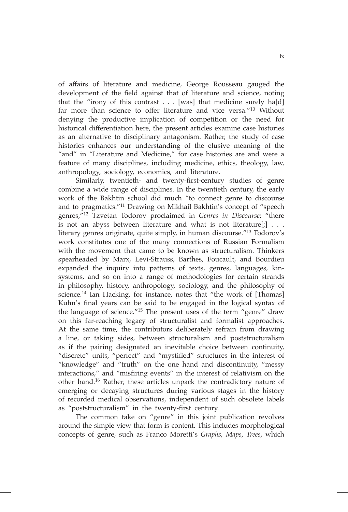of affairs of literature and medicine, George Rousseau gauged the development of the field against that of literature and science, noting that the "irony of this contrast  $\ldots$  [was] that medicine surely ha[d] far more than science to offer literature and vice versa."<sup>10</sup> Without denying the productive implication of competition or the need for historical differentiation here, the present articles examine case histories as an alternative to disciplinary antagonism. Rather, the study of case histories enhances our understanding of the elusive meaning of the "and" in "Literature and Medicine," for case histories are and were a feature of many disciplines, including medicine, ethics, theology, law, anthropology, sociology, economics, and literature.

Similarly, twentieth- and twenty-first-century studies of genre combine a wide range of disciplines. In the twentieth century, the early work of the Bakhtin school did much "to connect genre to discourse and to pragmatics."<sup>11</sup> Drawing on Mikhail Bakhtin's concept of "speech genres,"<sup>12</sup> Tzvetan Todorov proclaimed in *Genres in Discourse*: "there is not an abyss between literature and what is not literature $[j]$ ... literary genres originate, quite simply, in human discourse."<sup>13</sup> Todorov's work constitutes one of the many connections of Russian Formalism with the movement that came to be known as structuralism. Thinkers spearheaded by Marx, Levi-Strauss, Barthes, Foucault, and Bourdieu expanded the inquiry into patterns of texts, genres, languages, kinsystems, and so on into a range of methodologies for certain strands in philosophy, history, anthropology, sociology, and the philosophy of science.<sup>14</sup> Ian Hacking, for instance, notes that "the work of [Thomas] Kuhn's final years can be said to be engaged in the logical syntax of the language of science."<sup>15</sup> The present uses of the term "genre" draw on this far-reaching legacy of structuralist and formalist approaches. At the same time, the contributors deliberately refrain from drawing a line, or taking sides, between structuralism and poststructuralism as if the pairing designated an inevitable choice between continuity, "discrete" units, "perfect" and "mystified" structures in the interest of "knowledge" and "truth" on the one hand and discontinuity, "messy interactions," and "misfiring events" in the interest of relativism on the other hand.<sup>16</sup> Rather, these articles unpack the contradictory nature of emerging or decaying structures during various stages in the history of recorded medical observations, independent of such obsolete labels as "poststructuralism" in the twenty-first century.

The common take on "genre" in this joint publication revolves around the simple view that form is content. This includes morphological concepts of genre, such as Franco Moretti's *Graphs, Maps, Trees*, which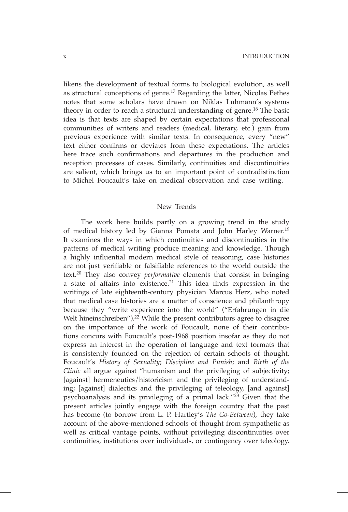x INTRODUCTION

likens the development of textual forms to biological evolution, as well as structural conceptions of genre.<sup>17</sup> Regarding the latter, Nicolas Pethes notes that some scholars have drawn on Niklas Luhmann's systems theory in order to reach a structural understanding of genre.<sup>18</sup> The basic idea is that texts are shaped by certain expectations that professional communities of writers and readers (medical, literary, etc.) gain from previous experience with similar texts. In consequence, every "new" text either confirms or deviates from these expectations. The articles here trace such confirmations and departures in the production and reception processes of cases. Similarly, continuities and discontinuities are salient, which brings us to an important point of contradistinction to Michel Foucault's take on medical observation and case writing.

## New Trends

The work here builds partly on a growing trend in the study of medical history led by Gianna Pomata and John Harley Warner.<sup>19</sup> It examines the ways in which continuities and discontinuities in the patterns of medical writing produce meaning and knowledge. Though a highly influential modern medical style of reasoning, case histories are not just verifiable or falsifiable references to the world outside the text.20 They also convey *performative* elements that consist in bringing a state of affairs into existence.<sup>21</sup> This idea finds expression in the writings of late eighteenth-century physician Marcus Herz, who noted that medical case histories are a matter of conscience and philanthropy because they "write experience into the world" ("Erfahrungen in die Welt hineinschreiben").<sup>22</sup> While the present contributors agree to disagree on the importance of the work of Foucault, none of their contributions concurs with Foucault's post-1968 position insofar as they do not express an interest in the operation of language and text formats that is consistently founded on the rejection of certain schools of thought. Foucault's *History of Sexuality*; *Discipline and Punish*; and *Birth of the Clinic* all argue against "humanism and the privileging of subjectivity; [against] hermeneutics/historicism and the privileging of understanding; [against] dialectics and the privileging of teleology, [and against] psychoanalysis and its privileging of a primal lack."<sup>23</sup> Given that the present articles jointly engage with the foreign country that the past has become (to borrow from L. P. Hartley's *The Go-Between*), they take account of the above-mentioned schools of thought from sympathetic as well as critical vantage points, without privileging discontinuities over continuities, institutions over individuals, or contingency over teleology.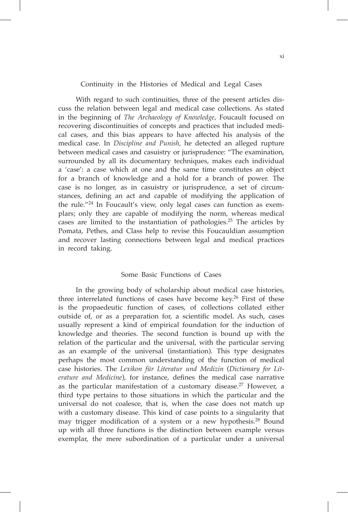## Continuity in the Histories of Medical and Legal Cases

With regard to such continuities, three of the present articles discuss the relation between legal and medical case collections. As stated in the beginning of *The Archaeology of Knowledge*, Foucault focused on recovering discontinuities of concepts and practices that included medical cases, and this bias appears to have affected his analysis of the medical case. In *Discipline and Punish,* he detected an alleged rupture between medical cases and casuistry or jurisprudence: "The examination, surrounded by all its documentary techniques, makes each individual a 'case': a case which at one and the same time constitutes an object for a branch of knowledge and a hold for a branch of power. The case is no longer, as in casuistry or jurisprudence, a set of circumstances, defining an act and capable of modifying the application of the rule."<sup>24</sup> In Foucault's view, only legal cases can function as exemplars; only they are capable of modifying the norm, whereas medical cases are limited to the instantiation of pathologies.25 The articles by Pomata, Pethes, and Class help to revise this Foucauldian assumption and recover lasting connections between legal and medical practices in record taking.

## Some Basic Functions of Cases

In the growing body of scholarship about medical case histories, three interrelated functions of cases have become key.<sup>26</sup> First of these is the propaedeutic function of cases, of collections collated either outside of, or as a preparation for, a scientific model. As such, cases usually represent a kind of empirical foundation for the induction of knowledge and theories. The second function is bound up with the relation of the particular and the universal, with the particular serving as an example of the universal (instantiation). This type designates perhaps the most common understanding of the function of medical case histories. The *Lexikon für Literatur und Medizin* (*Dictionary for Literature and Medicine*), for instance, defines the medical case narrative as the particular manifestation of a customary disease.<sup>27</sup> However, a third type pertains to those situations in which the particular and the universal do not coalesce, that is, when the case does not match up with a customary disease. This kind of case points to a singularity that may trigger modification of a system or a new hypothesis.28 Bound up with all three functions is the distinction between example versus exemplar, the mere subordination of a particular under a universal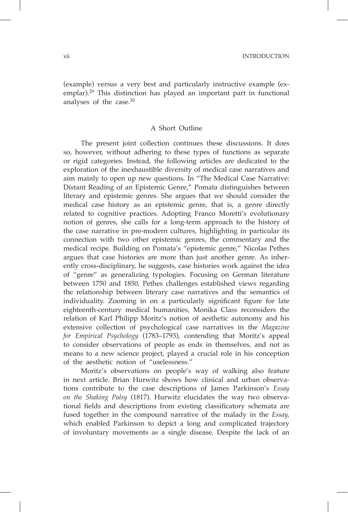xii Introduction

(example) versus a very best and particularly instructive example (exemplar).<sup>29</sup> This distinction has played an important part in functional analyses of the case.<sup>30</sup>

## A Short Outline

The present joint collection continues these discussions. It does so, however, without adhering to these types of functions as separate or rigid categories. Instead, the following articles are dedicated to the exploration of the inexhaustible diversity of medical case narratives and aim mainly to open up new questions. In "The Medical Case Narrative: Distant Reading of an Epistemic Genre," Pomata distinguishes between literary and epistemic genres. She argues that we should consider the medical case history as an epistemic genre, that is, a genre directly related to cognitive practices. Adopting Franco Moretti's evolutionary notion of genres, she calls for a long-term approach to the history of the case narrative in pre-modern cultures, highlighting in particular its connection with two other epistemic genres, the commentary and the medical recipe. Building on Pomata's "epistemic genre," Nicolas Pethes argues that case histories are more than just another genre. As inherently cross-disciplinary, he suggests, case histories work against the idea of "genre" as generalizing typologies. Focusing on German literature between 1750 and 1850, Pethes challenges established views regarding the relationship between literary case narratives and the semantics of individuality. Zooming in on a particularly significant figure for late eighteenth-century medical humanities, Monika Class reconsiders the relation of Karl Philipp Moritz's notion of aesthetic autonomy and his extensive collection of psychological case narratives in the *Magazine for Empirical Psychology* (1783–1793), contending that Moritz's appeal to consider observations of people as ends in themselves, and not as means to a new science project, played a crucial role in his conception of the aesthetic notion of "uselessness."

Moritz's observations on people's way of walking also feature in next article. Brian Hurwitz shows how clinical and urban observations contribute to the case descriptions of James Parkinson's *Essay on the Shaking Palsy* (1817). Hurwitz elucidates the way two observational fields and descriptions from existing classificatory schemata are fused together in the compound narrative of the malady in the *Essay,*  which enabled Parkinson to depict a long and complicated trajectory of involuntary movements as a single disease. Despite the lack of an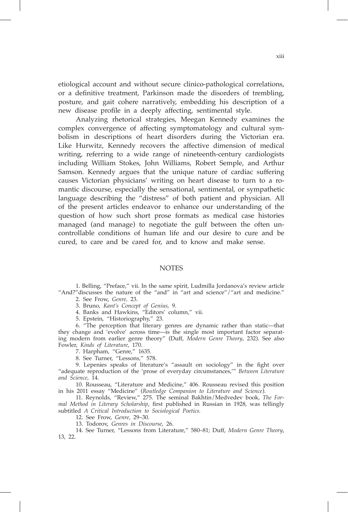etiological account and without secure clinico-pathological correlations, or a definitive treatment, Parkinson made the disorders of trembling, posture, and gait cohere narratively, embedding his description of a new disease profile in a deeply affecting, sentimental style.

Analyzing rhetorical strategies, Meegan Kennedy examines the complex convergence of affecting symptomatology and cultural symbolism in descriptions of heart disorders during the Victorian era. Like Hurwitz, Kennedy recovers the affective dimension of medical writing, referring to a wide range of nineteenth-century cardiologists including William Stokes, John Williams, Robert Semple, and Arthur Samson. Kennedy argues that the unique nature of cardiac suffering causes Victorian physicians' writing on heart disease to turn to a romantic discourse, especially the sensational, sentimental, or sympathetic language describing the "distress" of both patient and physician. All of the present articles endeavor to enhance our understanding of the question of how such short prose formats as medical case histories managed (and manage) to negotiate the gulf between the often uncontrollable conditions of human life and our desire to cure and be cured, to care and be cared for, and to know and make sense.

## **NOTES**

1. Belling, "Preface," vii. In the same spirit, Ludmilla Jordanova's review article "And?"discusses the nature of the "and" in "art and science"/"art and medicine."

2. See Frow, *Genre,* 23.

3. Bruno, *Kant's Concept of Genius*, 9.

4. Banks and Hawkins, "Editors' column," vii.

5. Epstein, "Historiography," 23.

6. "The perception that literary genres are dynamic rather than static—that they change and 'evolve' across time—is the single most important factor separating modern from earlier genre theory" (Duff, *Modern Genre Theory*, 232). See also Fowler, *Kinds of Literature*, 170.

7. Harpham, "Genre," 1635*.*

8. See Turner, "Lessons," 578.

9. Lepenies speaks of literature's "assault on sociology" in the fight over "adequate reproduction of the 'prose of everyday circumstances,'" *Between Literature and Science*, 14.

10. Rousseau, "Literature and Medicine," 406. Rousseau revised this position in his 2011 essay "Medicine" (*Routledge Companion to Literature and Science*).

11. Reynolds, "Review," 275. The seminal Bakhtin/Medvedev book, *The Formal Method in Literary Scholarship*, first published in Russian in 1928, was tellingly subtitled *A Critical Introduction to Sociological Poetics.* 

12. See Frow, *Genre*, 29–30.

13. Todorov, *Genres in Discourse*, 26.

14. See Turner, "Lessons from Literature," 580–81; Duff, *Modern Genre Theory*, 13, 22.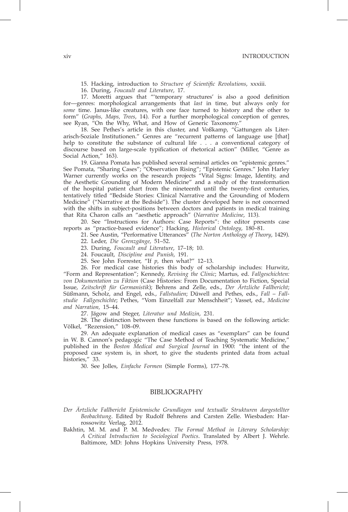15. Hacking, introduction to *Structure of Scientific Revolutions*, xxxiii.

16. During, *Foucault and Literature*, 17.

17. Moretti argues that "'temporary structures' is also a good definition for—genres: morphological arrangements that *last* in time, but always only for *some* time. Janus-like creatures, with one face turned to history and the other to form" (*Graphs, Maps, Trees*, 14). For a further morphological conception of genres, see Ryan, "On the Why, What, and How of Generic Taxonomy."

18. See Pethes's article in this cluster, and Voßkamp, "Gattungen als Literarisch-Soziale Institutionen." Genres are "recurrent patterns of language use [that] help to constitute the substance of cultural life . . . a conventional category of discourse based on large-scale typification of rhetorical action" (Miller, "Genre as Social Action," 163).

19. Gianna Pomata has published several seminal articles on "epistemic genres." See Pomata, "Sharing Cases"; "Observation Rising"; "Epistemic Genres." John Harley Warner currently works on the research projects "Vital Signs: Image, Identity, and the Aesthetic Grounding of Modern Medicine" and a study of the transformation of the hospital patient chart from the nineteenth until the twenty-first centuries, tentatively titled "Bedside Stories: Clinical Narrative and the Grounding of Modern Medicine" ("Narrative at the Bedside"). The cluster developed here is not concerned with the shifts in subject-positions between doctors and patients in medical training that Rita Charon calls an "aesthetic approach" (*Narrative Medicine*, 113).

20. See "Instructions for Authors: Case Reports": the editor presents case reports as "practice-based evidence"; Hacking, *Historical Ontology*, 180–81.

21. See Austin, "Performative Utterances" (*The Norton Anthology of Theory*, 1429). 22. Leder, *Die Grenzgänge*, 51–52.

23. During, *Foucault and Literature*, 17–18; 10.

24. Foucault, *Discipline and Punish*, 191.

25. See John Forrester, "If *p*, then what?" 12–13.

26. For medical case histories this body of scholarship includes: Hurwitz, "Form and Representation"; Kennedy, *Revising the Clinic*; Martus, ed. *Fallgeschichten: von Dokumentation zu Fiktion* (Case Histories: From Documentation to Fiction, Special Issue, *Zeitschrift für Germanistik*); Behrens and Zelle, eds., *Der Ärtzliche Fallbericht*; Süßmann, Scholz, and Engel, eds., *Fallstudien*; Düwell and Pethes, eds., *Fall* – *Fallstudie Fallgeschichte*; Pethes, "Vom Einzelfall zur Menschheit"; Vasset, ed., *Medicine and Narration,* 15–44.

27. Jägow and Steger, *Literatur und Medizin*, 231.

28. The distinction between these functions is based on the following article: Völkel, "Rezension," 108–09.

29. An adequate explanation of medical cases as "exemplars" can be found in W. B. Cannon's pedagogic "The Case Method of Teaching Systematic Medicine," published in the *Boston Medical and Surgical Journal* in 1900: "the intent of the proposed case system is, in short, to give the students printed data from actual histories," 33.

30. See Jolles, *Einfache Formen* (Simple Forms), 177–78.

#### BIBLIOGRAPHY

*Der Ärtzliche Fallbericht Epistemische Grundlagen und textualle Strukturen dargestellter Beobachtung*. Edited by Rudolf Behrens and Carsten Zelle. Wiesbaden: Harrossowitz Verlag, 2012.

Bakhtin, M. M. and P. M. Medvedev. *The Formal Method in Literary Scholarship: A Critical Introduction to Sociological Poetics*. Translated by Albert J. Wehrle. Baltimore, MD: Johns Hopkins University Press, 1978.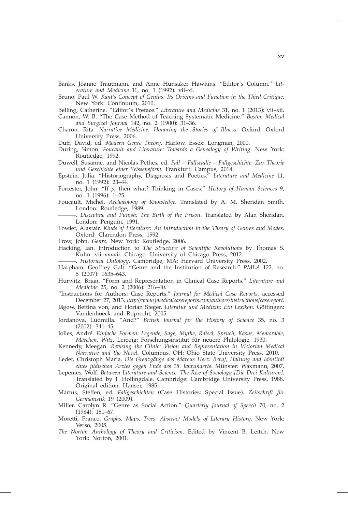- Banks, Joanne Trautmann, and Anne Hunsaker Hawkins. "Editor's Column," *Literature and Medicine* 11, no. 1 (1992): vii–xi.
- Bruno, Paul W. *Kant's Concept of Genius: Its Origins and Function in the Third Critique*. New York: Continuum, 2010.

Belling, Catherine. "Editor's Preface." *Literature and Medicine* 31, no. 1 (2013): vii–xii.

- Cannon, W. B. "The Case Method of Teaching Systematic Medicine." *Boston Medical and Surgical Journal* 142, no. 2 (1900): 31–36.
- Charon, Rita. *Narrative Medicine: Honoring the Stories of Illness*. Oxford: Oxford University Press, 2006.

Duff, David, ed. *Modern Genre Theory*. Harlow, Essex: Longman, 2000.

During, Simon. *Foucault and Literature: Towards a Genealogy of Writing*. New York: Routledge, 1992.

Düwell, Susanne, and Nicolas Pethes, ed. *Fall* – *Fallstudie* – *Fallgeschichte: Zur Theorie und Geschichte einer Wissensform*. Frankfurt: Campus, 2014.

- Epstein, Julia. "Historiography, Diagnosis and Poetics." *Literature and Medicine* 11, no. 1 (1992): 23–44.
- Forrester, John. "If *p*, then what? Thinking in Cases." *History of Human Sciences* 9, no. 1 (1996): 1–25.
- Foucault, Michel. *Archaeology of Knowledge.* Translated by A. M. Sheridan Smith. London: Routledge, 1989.
	- ———. *Discipline and Punish: The Birth of the Prison*. Translated by Alan Sheridan. London: Penguin, 1991.
- Fowler, Alastair. *Kinds of Literature: An Introduction to the Theory of Genres and Modes*. Oxford: Clarendon Press, 1992.
- Frow, John. *Genre*. New York: Routledge, 2006.
- Hacking, Ian. Introduction to *The Structure of Scientific Revolutions* by Thomas S. Kuhn. vii–xxxvii. Chicago: University of Chicago Press, 2012.

———. *Historical Ontology*. Cambridge, MA: Harvard University Press, 2002.

- Harpham, Geoffrey Galt. "Genre and the Institution of Research." *PMLA* 122, no. 5 (2007): 1635–643.
- Hurwitz, Brian. "Form and Representation in Clinical Case Reports." *Literature and Medicine* 25, no. 2 (2006): 216–40.
- "Instructions for Authors: Case Reports." *Journal for Medical Case Reports*, accessed December 27, 2013, *http://www.jmedicalcasereports.com/authors/instructions/casereport*.
- Jägow, Bettina von, and Florian Steger. *Literatur und Medizin: Ein Lexikon*. Göttingen: Vandenhoeck and Ruprecht, 2005.
- Jordanova, Ludmilla. "And?" *British Journal for the History of Science* 35, no. 3 (2002): 341–45.
- Jolles, André. *Einfache Formen: Legende, Sage, Mythe, Rätsel, Spruch, Kasus, Memorable, Märchen, Witz*. Leipzig: Forschungsinstitut für neuere Philologie, 1930.
- Kennedy, Meegan. *Revising the Clinic: Vision and Representation in Victorian Medical Narrative and the Novel*. Columbus, OH: Ohio State University Press, 2010.
- Leder, Christoph Maria. *Die Grenzgänge des Marcus Herz: Beruf, Haltung and Identität eines jüdischen Arztes gegen Ende des 18. Jahrunderts*. Münster: Waxmann, 2007.
- Lepenies, Wolf. *Between Literature and Science: The Rise of Sociology [Die Drei Kulturen]*. Translated by J. Hollingdale. Cambridge: Cambridge University Press, 1988. Original edition, Hanser, 1985.
- Martus, Steffen, ed. *Fallgeschichten* (Case Histories: Special Issue). *Zeitschrift für Germanistik* 19 (2009).
- Miller, Carolyn R. "Genre as Social Action." *Quarterly Journal of Speech* 70, no. 2 (1984): 151–67.
- Moretti, Franco. *Graphs, Maps, Trees: Abstract Models of Literary History*. New York: Verso, 2005.
- *The Norton Anthology of Theory and Criticism*. Edited by Vincent B. Leitch. New York: Norton, 2001.